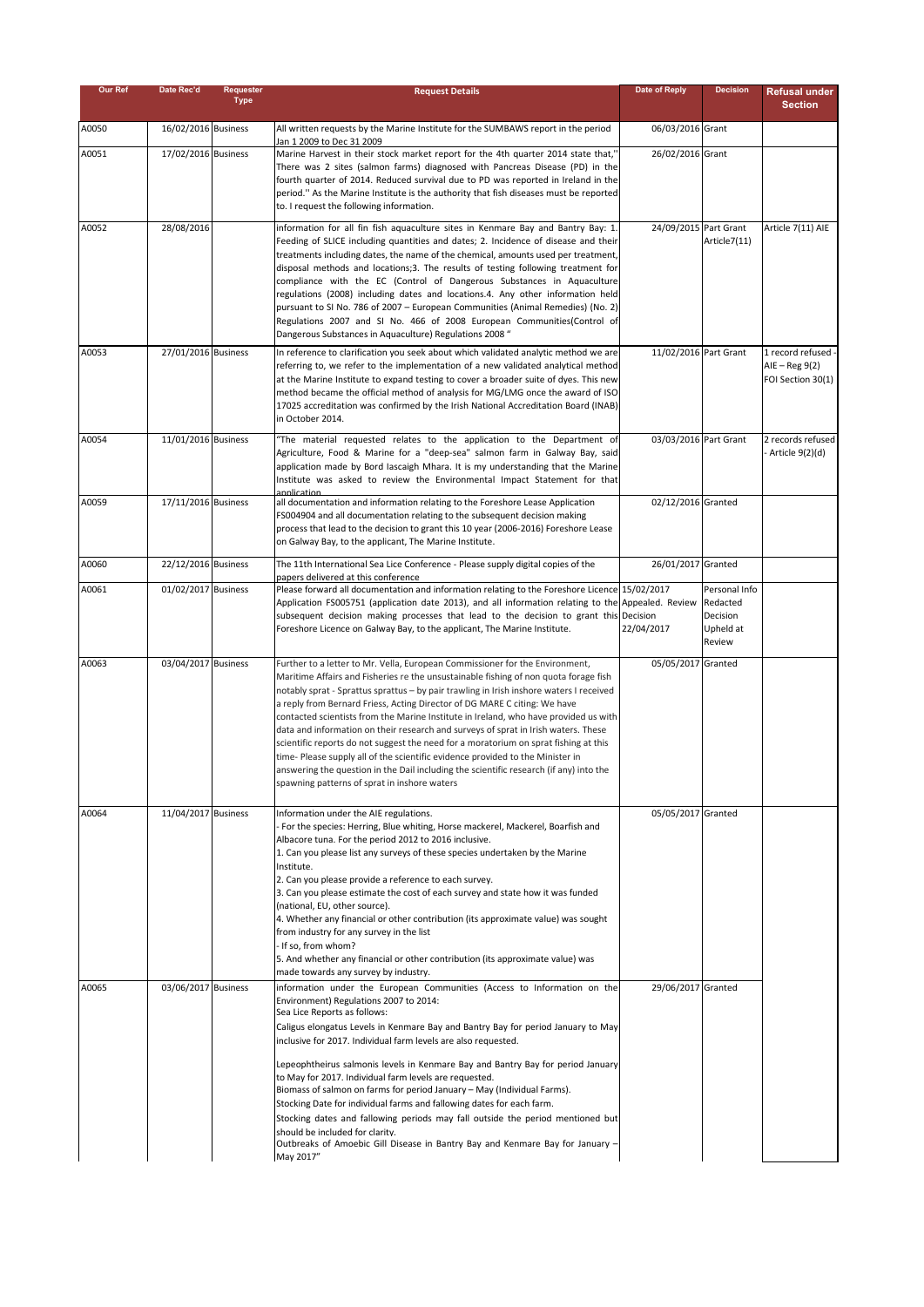| Our Ref | Date Rec'd          | Requester   | <b>Request Details</b>                                                                                                                                                     | Date of Reply         | <b>Decision</b>       | <b>Refusal under</b>                   |
|---------|---------------------|-------------|----------------------------------------------------------------------------------------------------------------------------------------------------------------------------|-----------------------|-----------------------|----------------------------------------|
|         |                     | <b>Type</b> |                                                                                                                                                                            |                       |                       | <b>Section</b>                         |
| A0050   | 16/02/2016 Business |             | All written requests by the Marine Institute for the SUMBAWS report in the period                                                                                          | 06/03/2016 Grant      |                       |                                        |
| A0051   | 17/02/2016 Business |             | Jan 1 2009 to Dec 31 2009<br>Marine Harvest in their stock market report for the 4th quarter 2014 state that,"                                                             | 26/02/2016 Grant      |                       |                                        |
|         |                     |             | There was 2 sites (salmon farms) diagnosed with Pancreas Disease (PD) in the                                                                                               |                       |                       |                                        |
|         |                     |             | fourth quarter of 2014. Reduced survival due to PD was reported in Ireland in the                                                                                          |                       |                       |                                        |
|         |                     |             | period." As the Marine Institute is the authority that fish diseases must be reported<br>to. I request the following information.                                          |                       |                       |                                        |
| A0052   | 28/08/2016          |             |                                                                                                                                                                            | 24/09/2015 Part Grant |                       | Article 7(11) AIE                      |
|         |                     |             | information for all fin fish aquaculture sites in Kenmare Bay and Bantry Bay: 1.<br>Feeding of SLICE including quantities and dates; 2. Incidence of disease and their     |                       | Article7(11)          |                                        |
|         |                     |             | treatments including dates, the name of the chemical, amounts used per treatment,                                                                                          |                       |                       |                                        |
|         |                     |             | disposal methods and locations; 3. The results of testing following treatment for<br>compliance with the EC (Control of Dangerous Substances in Aquaculture                |                       |                       |                                        |
|         |                     |             | regulations (2008) including dates and locations.4. Any other information held                                                                                             |                       |                       |                                        |
|         |                     |             | pursuant to SI No. 786 of 2007 - European Communities (Animal Remedies) (No. 2)<br>Regulations 2007 and SI No. 466 of 2008 European Communities(Control of                 |                       |                       |                                        |
|         |                     |             | Dangerous Substances in Aquaculture) Regulations 2008 "                                                                                                                    |                       |                       |                                        |
| A0053   | 27/01/2016 Business |             | In reference to clarification you seek about which validated analytic method we are                                                                                        | 11/02/2016 Part Grant |                       | 1 record refused -                     |
|         |                     |             | referring to, we refer to the implementation of a new validated analytical method<br>at the Marine Institute to expand testing to cover a broader suite of dyes. This new  |                       |                       | $AIE - Reg 9(2)$<br>FOI Section 30(1)  |
|         |                     |             | method became the official method of analysis for MG/LMG once the award of ISO                                                                                             |                       |                       |                                        |
|         |                     |             | 17025 accreditation was confirmed by the Irish National Accreditation Board (INAB)<br>in October 2014.                                                                     |                       |                       |                                        |
|         |                     |             |                                                                                                                                                                            |                       |                       |                                        |
| A0054   | 11/01/2016 Business |             | "The material requested relates to the application to the Department of<br>Agriculture, Food & Marine for a "deep-sea" salmon farm in Galway Bay, said                     | 03/03/2016 Part Grant |                       | 2 records refused<br>- Article 9(2)(d) |
|         |                     |             | application made by Bord Iascaigh Mhara. It is my understanding that the Marine                                                                                            |                       |                       |                                        |
|         |                     |             | Institute was asked to review the Environmental Impact Statement for that<br>annlication                                                                                   |                       |                       |                                        |
| A0059   | 17/11/2016 Business |             | all documentation and information relating to the Foreshore Lease Application<br>FS004904 and all documentation relating to the subsequent decision making                 | 02/12/2016 Granted    |                       |                                        |
|         |                     |             | process that lead to the decision to grant this 10 year (2006-2016) Foreshore Lease                                                                                        |                       |                       |                                        |
|         |                     |             | on Galway Bay, to the applicant, The Marine Institute.                                                                                                                     |                       |                       |                                        |
| A0060   | 22/12/2016 Business |             | The 11th International Sea Lice Conference - Please supply digital copies of the                                                                                           | 26/01/2017 Granted    |                       |                                        |
| A0061   | 01/02/2017 Business |             | papers delivered at this conference<br>Please forward all documentation and information relating to the Foreshore Licence 15/02/2017                                       |                       | Personal Info         |                                        |
|         |                     |             | Application FS005751 (application date 2013), and all information relating to the Appealed. Review                                                                         |                       | Redacted              |                                        |
|         |                     |             | subsequent decision making processes that lead to the decision to grant this Decision<br>Foreshore Licence on Galway Bay, to the applicant, The Marine Institute.          | 22/04/2017            | Decision<br>Upheld at |                                        |
|         |                     |             |                                                                                                                                                                            |                       | Review                |                                        |
| A0063   | 03/04/2017 Business |             | Further to a letter to Mr. Vella, European Commissioner for the Environment,                                                                                               | 05/05/2017            | Granted               |                                        |
|         |                     |             | Maritime Affairs and Fisheries re the unsustainable fishing of non quota forage fish                                                                                       |                       |                       |                                        |
|         |                     |             | notably sprat - Sprattus sprattus - by pair trawling in Irish inshore waters I received<br>a reply from Bernard Friess, Acting Director of DG MARE C citing: We have       |                       |                       |                                        |
|         |                     |             | contacted scientists from the Marine Institute in Ireland, who have provided us with                                                                                       |                       |                       |                                        |
|         |                     |             | data and information on their research and surveys of sprat in Irish waters. These<br>scientific reports do not suggest the need for a moratorium on sprat fishing at this |                       |                       |                                        |
|         |                     |             | time- Please supply all of the scientific evidence provided to the Minister in                                                                                             |                       |                       |                                        |
|         |                     |             | answering the question in the Dail including the scientific research (if any) into the<br>spawning patterns of sprat in inshore waters                                     |                       |                       |                                        |
|         |                     |             |                                                                                                                                                                            |                       |                       |                                        |
| A0064   | 11/04/2017 Business |             | Information under the AIE regulations.                                                                                                                                     | 05/05/2017 Granted    |                       |                                        |
|         |                     |             | - For the species: Herring, Blue whiting, Horse mackerel, Mackerel, Boarfish and<br>Albacore tuna. For the period 2012 to 2016 inclusive.                                  |                       |                       |                                        |
|         |                     |             | 1. Can you please list any surveys of these species undertaken by the Marine                                                                                               |                       |                       |                                        |
|         |                     |             | Institute.<br>2. Can you please provide a reference to each survey.                                                                                                        |                       |                       |                                        |
|         |                     |             | 3. Can you please estimate the cost of each survey and state how it was funded                                                                                             |                       |                       |                                        |
|         |                     |             | (national, EU, other source).<br>4. Whether any financial or other contribution (its approximate value) was sought                                                         |                       |                       |                                        |
|         |                     |             | from industry for any survey in the list                                                                                                                                   |                       |                       |                                        |
|         |                     |             | - If so, from whom?                                                                                                                                                        |                       |                       |                                        |
|         |                     |             | 5. And whether any financial or other contribution (its approximate value) was<br>made towards any survey by industry.                                                     |                       |                       |                                        |
| A0065   | 03/06/2017 Business |             | information under the European Communities (Access to Information on the                                                                                                   | 29/06/2017 Granted    |                       |                                        |
|         |                     |             | Environment) Regulations 2007 to 2014:<br>Sea Lice Reports as follows:                                                                                                     |                       |                       |                                        |
|         |                     |             | Caligus elongatus Levels in Kenmare Bay and Bantry Bay for period January to May                                                                                           |                       |                       |                                        |
|         |                     |             | inclusive for 2017. Individual farm levels are also requested.                                                                                                             |                       |                       |                                        |
|         |                     |             | Lepeophtheirus salmonis levels in Kenmare Bay and Bantry Bay for period January                                                                                            |                       |                       |                                        |
|         |                     |             | to May for 2017. Individual farm levels are requested.<br>Biomass of salmon on farms for period January - May (Individual Farms).                                          |                       |                       |                                        |
|         |                     |             | Stocking Date for individual farms and fallowing dates for each farm.                                                                                                      |                       |                       |                                        |
|         |                     |             | Stocking dates and fallowing periods may fall outside the period mentioned but                                                                                             |                       |                       |                                        |
|         |                     |             | should be included for clarity.<br>Outbreaks of Amoebic Gill Disease in Bantry Bay and Kenmare Bay for January -                                                           |                       |                       |                                        |
|         |                     |             | May 2017"                                                                                                                                                                  |                       |                       |                                        |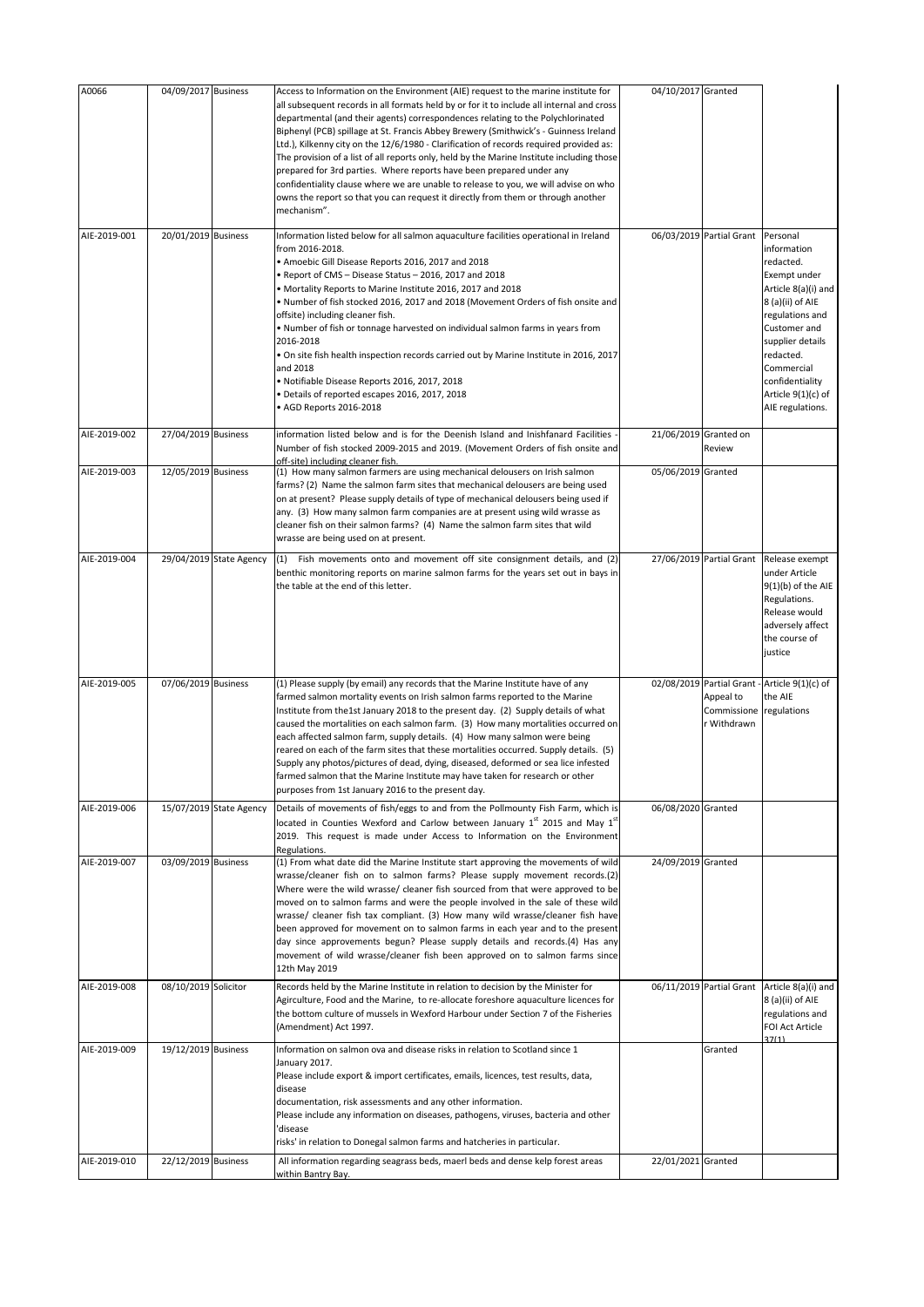| A0066                        | 04/09/2017 Business                        |                         | Access to Information on the Environment (AIE) request to the marine institute for<br>all subsequent records in all formats held by or for it to include all internal and cross<br>departmental (and their agents) correspondences relating to the Polychlorinated<br>Biphenyl (PCB) spillage at St. Francis Abbey Brewery (Smithwick's - Guinness Ireland<br>Ltd.), Kilkenny city on the 12/6/1980 - Clarification of records required provided as:<br>The provision of a list of all reports only, held by the Marine Institute including those<br>prepared for 3rd parties. Where reports have been prepared under any<br>confidentiality clause where we are unable to release to you, we will advise on who<br>owns the report so that you can request it directly from them or through another<br>mechanism". | 04/10/2017 Granted    |                                         |                                                                                                                                                                                                                                                  |
|------------------------------|--------------------------------------------|-------------------------|---------------------------------------------------------------------------------------------------------------------------------------------------------------------------------------------------------------------------------------------------------------------------------------------------------------------------------------------------------------------------------------------------------------------------------------------------------------------------------------------------------------------------------------------------------------------------------------------------------------------------------------------------------------------------------------------------------------------------------------------------------------------------------------------------------------------|-----------------------|-----------------------------------------|--------------------------------------------------------------------------------------------------------------------------------------------------------------------------------------------------------------------------------------------------|
| AIE-2019-001                 | 20/01/2019 Business                        |                         | Information listed below for all salmon aquaculture facilities operational in Ireland<br>from 2016-2018.<br>• Amoebic Gill Disease Reports 2016, 2017 and 2018<br>. Report of CMS - Disease Status - 2016, 2017 and 2018<br>. Mortality Reports to Marine Institute 2016, 2017 and 2018<br>• Number of fish stocked 2016, 2017 and 2018 (Movement Orders of fish onsite and<br>offsite) including cleaner fish.<br>. Number of fish or tonnage harvested on individual salmon farms in years from<br>2016-2018<br>. On site fish health inspection records carried out by Marine Institute in 2016, 2017<br>and 2018<br>· Notifiable Disease Reports 2016, 2017, 2018<br>· Details of reported escapes 2016, 2017, 2018<br>• AGD Reports 2016-2018                                                                  |                       | 06/03/2019 Partial Grant                | Personal<br>information<br>redacted.<br>Exempt under<br>Article 8(a)(i) and<br>8 (a)(ii) of AIE<br>regulations and<br>Customer and<br>supplier details<br>redacted.<br>Commercial<br>confidentiality<br>Article $9(1)(c)$ of<br>AIE regulations. |
| AIE-2019-002                 | 27/04/2019 Business                        |                         | information listed below and is for the Deenish Island and Inishfanard Facilities<br>Number of fish stocked 2009-2015 and 2019. (Movement Orders of fish onsite and<br>off-site) including cleaner fish.                                                                                                                                                                                                                                                                                                                                                                                                                                                                                                                                                                                                            | 21/06/2019 Granted on | Review                                  |                                                                                                                                                                                                                                                  |
| AIE-2019-003                 | 12/05/2019 Business                        |                         | (1) How many salmon farmers are using mechanical delousers on Irish salmon<br>farms? (2) Name the salmon farm sites that mechanical delousers are being used<br>on at present? Please supply details of type of mechanical delousers being used if<br>any. (3) How many salmon farm companies are at present using wild wrasse as<br>cleaner fish on their salmon farms? (4) Name the salmon farm sites that wild<br>wrasse are being used on at present.                                                                                                                                                                                                                                                                                                                                                           | 05/06/2019 Granted    |                                         |                                                                                                                                                                                                                                                  |
| AIE-2019-004                 |                                            | 29/04/2019 State Agency | (1) Fish movements onto and movement off site consignment details, and (2)<br>benthic monitoring reports on marine salmon farms for the years set out in bays in<br>the table at the end of this letter.                                                                                                                                                                                                                                                                                                                                                                                                                                                                                                                                                                                                            |                       | 27/06/2019 Partial Grant                | Release exempt<br>under Article<br>$9(1)(b)$ of the AIE<br>Regulations.<br>Release would<br>adversely affect<br>the course of<br>justice                                                                                                         |
| AIE-2019-005                 | 07/06/2019 Business                        |                         | (1) Please supply (by email) any records that the Marine Institute have of any<br>farmed salmon mortality events on Irish salmon farms reported to the Marine<br>Institute from the1st January 2018 to the present day. (2) Supply details of what<br>caused the mortalities on each salmon farm. (3) How many mortalities occurred on<br>each affected salmon farm, supply details. (4) How many salmon were being<br>reared on each of the farm sites that these mortalities occurred. Supply details. (5)<br>Supply any photos/pictures of dead, dying, diseased, deformed or sea lice infested<br>farmed salmon that the Marine Institute may have taken for research or other<br>purposes from 1st January 2016 to the present day.                                                                            |                       | Appeal to<br>Commissione<br>r Withdrawn | 02/08/2019 Partial Grant - Article 9(1)(c) of<br>the AIE<br>regulations                                                                                                                                                                          |
| AIE-2019-006                 |                                            | 15/07/2019 State Agency | Details of movements of fish/eggs to and from the Pollmounty Fish Farm, which is<br>located in Counties Wexford and Carlow between January 1st 2015 and May 1st<br>2019. This request is made under Access to Information on the Environment<br>Regulations.                                                                                                                                                                                                                                                                                                                                                                                                                                                                                                                                                        | 06/08/2020 Granted    |                                         |                                                                                                                                                                                                                                                  |
| AIE-2019-007                 | 03/09/2019 Business                        |                         | (1) From what date did the Marine Institute start approving the movements of wild<br>wrasse/cleaner fish on to salmon farms? Please supply movement records.(2)<br>Where were the wild wrasse/ cleaner fish sourced from that were approved to be<br>moved on to salmon farms and were the people involved in the sale of these wild<br>wrasse/ cleaner fish tax compliant. (3) How many wild wrasse/cleaner fish have<br>been approved for movement on to salmon farms in each year and to the present<br>day since approvements begun? Please supply details and records.(4) Has any<br>movement of wild wrasse/cleaner fish been approved on to salmon farms since<br>12th May 2019                                                                                                                              | 24/09/2019 Granted    |                                         |                                                                                                                                                                                                                                                  |
| AIE-2019-008                 | 08/10/2019 Solicitor                       |                         | Records held by the Marine Institute in relation to decision by the Minister for<br>Agirculture, Food and the Marine, to re-allocate foreshore aquaculture licences for<br>the bottom culture of mussels in Wexford Harbour under Section 7 of the Fisheries<br>(Amendment) Act 1997.                                                                                                                                                                                                                                                                                                                                                                                                                                                                                                                               |                       | 06/11/2019 Partial Grant                | Article 8(a)(i) and<br>8 (a)(ii) of AIE<br>regulations and<br>FOI Act Article                                                                                                                                                                    |
| AIE-2019-009<br>AIE-2019-010 | 19/12/2019 Business<br>22/12/2019 Business |                         | Information on salmon ova and disease risks in relation to Scotland since 1<br>January 2017.<br>Please include export & import certificates, emails, licences, test results, data,<br>disease<br>documentation, risk assessments and any other information.<br>Please include any information on diseases, pathogens, viruses, bacteria and other<br>'disease<br>risks' in relation to Donegal salmon farms and hatcheries in particular.<br>All information regarding seagrass beds, maerl beds and dense kelp forest areas                                                                                                                                                                                                                                                                                        | 22/01/2021 Granted    | Granted                                 | 37(1)                                                                                                                                                                                                                                            |
|                              |                                            |                         | within Bantry Bay.                                                                                                                                                                                                                                                                                                                                                                                                                                                                                                                                                                                                                                                                                                                                                                                                  |                       |                                         |                                                                                                                                                                                                                                                  |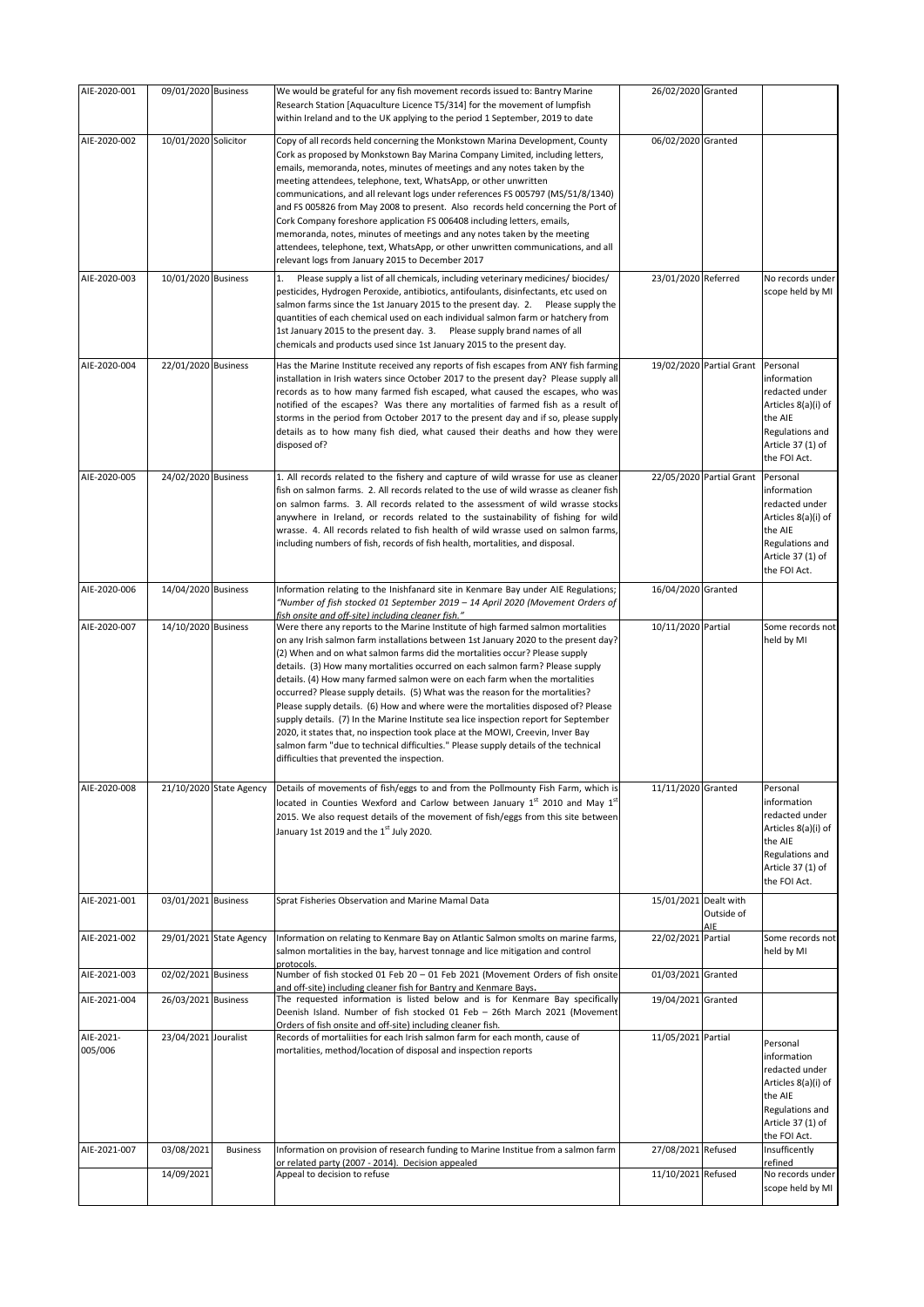| AIE-2020-001         | 09/01/2020 Business  |                         | We would be grateful for any fish movement records issued to: Bantry Marine<br>Research Station [Aquaculture Licence T5/314] for the movement of lumpfish<br>within Ireland and to the UK applying to the period 1 September, 2019 to date                                                                                                                                                                                                                                                                                                                                                                                                                                                                                                                                                                                                                                                                 | 26/02/2020 Granted    |                          |                                                                                                                                     |
|----------------------|----------------------|-------------------------|------------------------------------------------------------------------------------------------------------------------------------------------------------------------------------------------------------------------------------------------------------------------------------------------------------------------------------------------------------------------------------------------------------------------------------------------------------------------------------------------------------------------------------------------------------------------------------------------------------------------------------------------------------------------------------------------------------------------------------------------------------------------------------------------------------------------------------------------------------------------------------------------------------|-----------------------|--------------------------|-------------------------------------------------------------------------------------------------------------------------------------|
| AIE-2020-002         | 10/01/2020 Solicitor |                         | Copy of all records held concerning the Monkstown Marina Development, County<br>Cork as proposed by Monkstown Bay Marina Company Limited, including letters,<br>emails, memoranda, notes, minutes of meetings and any notes taken by the<br>meeting attendees, telephone, text, WhatsApp, or other unwritten<br>communications, and all relevant logs under references FS 005797 (MS/51/8/1340)<br>and FS 005826 from May 2008 to present. Also records held concerning the Port of<br>Cork Company foreshore application FS 006408 including letters, emails,<br>memoranda, notes, minutes of meetings and any notes taken by the meeting<br>attendees, telephone, text, WhatsApp, or other unwritten communications, and all<br>relevant logs from January 2015 to December 2017                                                                                                                         | 06/02/2020 Granted    |                          |                                                                                                                                     |
| AIE-2020-003         | 10/01/2020 Business  |                         | 1.<br>Please supply a list of all chemicals, including veterinary medicines/ biocides/<br>pesticides, Hydrogen Peroxide, antibiotics, antifoulants, disinfectants, etc used on<br>salmon farms since the 1st January 2015 to the present day. 2. Please supply the<br>quantities of each chemical used on each individual salmon farm or hatchery from<br>1st January 2015 to the present day. 3. Please supply brand names of all<br>chemicals and products used since 1st January 2015 to the present day.                                                                                                                                                                                                                                                                                                                                                                                               | 23/01/2020 Referred   |                          | No records under<br>scope held by MI                                                                                                |
| AIE-2020-004         | 22/01/2020 Business  |                         | Has the Marine Institute received any reports of fish escapes from ANY fish farming<br>installation in Irish waters since October 2017 to the present day? Please supply all<br>records as to how many farmed fish escaped, what caused the escapes, who was<br>notified of the escapes? Was there any mortalities of farmed fish as a result of<br>storms in the period from October 2017 to the present day and if so, please supply<br>details as to how many fish died, what caused their deaths and how they were<br>disposed of?                                                                                                                                                                                                                                                                                                                                                                     |                       | 19/02/2020 Partial Grant | Personal<br>information<br>redacted under<br>Articles 8(a)(i) of<br>the AIE<br>Regulations and<br>Article 37 (1) of<br>the FOI Act. |
| AIE-2020-005         | 24/02/2020 Business  |                         | 1. All records related to the fishery and capture of wild wrasse for use as cleaner<br>fish on salmon farms. 2. All records related to the use of wild wrasse as cleaner fish<br>on salmon farms. 3. All records related to the assessment of wild wrasse stocks<br>anywhere in Ireland, or records related to the sustainability of fishing for wild<br>wrasse. 4. All records related to fish health of wild wrasse used on salmon farms,<br>including numbers of fish, records of fish health, mortalities, and disposal.                                                                                                                                                                                                                                                                                                                                                                               |                       | 22/05/2020 Partial Grant | Personal<br>information<br>redacted under<br>Articles 8(a)(i) of<br>the AIE<br>Regulations and<br>Article 37 (1) of<br>the FOI Act. |
| AIE-2020-006         | 14/04/2020 Business  |                         | Information relating to the Inishfanard site in Kenmare Bay under AIE Regulations;<br>"Number of fish stocked 01 September 2019 – 14 April 2020 (Movement Orders of<br>fish onsite and off-site) includina cleaner fish."                                                                                                                                                                                                                                                                                                                                                                                                                                                                                                                                                                                                                                                                                  | 16/04/2020 Granted    |                          |                                                                                                                                     |
| AIE-2020-007         | 14/10/2020 Business  |                         | Were there any reports to the Marine Institute of high farmed salmon mortalities<br>on any Irish salmon farm installations between 1st January 2020 to the present day?<br>(2) When and on what salmon farms did the mortalities occur? Please supply<br>details. (3) How many mortalities occurred on each salmon farm? Please supply<br>details. (4) How many farmed salmon were on each farm when the mortalities<br>occurred? Please supply details. (5) What was the reason for the mortalities?<br>Please supply details. (6) How and where were the mortalities disposed of? Please<br>supply details. (7) In the Marine Institute sea lice inspection report for September<br>2020, it states that, no inspection took place at the MOWI, Creevin, Inver Bay<br>salmon farm "due to technical difficulties." Please supply details of the technical<br>difficulties that prevented the inspection. | 10/11/2020 Partial    |                          | Some records not<br>held by MI                                                                                                      |
| AIE-2020-008         |                      | 21/10/2020 State Agency | Details of movements of fish/eggs to and from the Pollmounty Fish Farm, which is<br>located in Counties Wexford and Carlow between January 1st 2010 and May 1st<br>2015. We also request details of the movement of fish/eggs from this site between<br>January 1st 2019 and the 1st July 2020.                                                                                                                                                                                                                                                                                                                                                                                                                                                                                                                                                                                                            | 11/11/2020 Granted    |                          | Personal<br>information<br>redacted under<br>Articles 8(a)(i) of<br>the AIE<br>Regulations and<br>Article 37 (1) of<br>the FOI Act. |
| AIE-2021-001         | 03/01/2021 Business  |                         | Sprat Fisheries Observation and Marine Mamal Data                                                                                                                                                                                                                                                                                                                                                                                                                                                                                                                                                                                                                                                                                                                                                                                                                                                          | 15/01/2021 Dealt with | Outside of               |                                                                                                                                     |
| AIE-2021-002         |                      | 29/01/2021 State Agency | Information on relating to Kenmare Bay on Atlantic Salmon smolts on marine farms,<br>salmon mortalities in the bay, harvest tonnage and lice mitigation and control                                                                                                                                                                                                                                                                                                                                                                                                                                                                                                                                                                                                                                                                                                                                        | 22/02/2021 Partial    |                          | Some records not<br>held by MI                                                                                                      |
| AIE-2021-003         | 02/02/2021 Business  |                         | protocols.<br>Number of fish stocked 01 Feb 20 - 01 Feb 2021 (Movement Orders of fish onsite<br>and off-site) including cleaner fish for Bantry and Kenmare Bays.                                                                                                                                                                                                                                                                                                                                                                                                                                                                                                                                                                                                                                                                                                                                          | 01/03/2021 Granted    |                          |                                                                                                                                     |
| AIE-2021-004         | 26/03/2021 Business  |                         | The requested information is listed below and is for Kenmare Bay specifically<br>Deenish Island. Number of fish stocked 01 Feb - 26th March 2021 (Movement<br>Orders of fish onsite and off-site) including cleaner fish.                                                                                                                                                                                                                                                                                                                                                                                                                                                                                                                                                                                                                                                                                  | 19/04/2021 Granted    |                          |                                                                                                                                     |
| AIE-2021-<br>005/006 | 23/04/2021 Jouralist |                         | Records of mortaliities for each Irish salmon farm for each month, cause of<br>mortalities, method/location of disposal and inspection reports                                                                                                                                                                                                                                                                                                                                                                                                                                                                                                                                                                                                                                                                                                                                                             | 11/05/2021 Partial    |                          | Personal<br>information<br>redacted under<br>Articles 8(a)(i) of<br>the AIE<br>Regulations and<br>Article 37 (1) of<br>the FOI Act. |
| AIE-2021-007         | 03/08/2021           | <b>Business</b>         | Information on provision of research funding to Marine Institue from a salmon farm<br>or related party (2007 - 2014). Decision appealed                                                                                                                                                                                                                                                                                                                                                                                                                                                                                                                                                                                                                                                                                                                                                                    | 27/08/2021 Refused    |                          | Insufficently<br>refined                                                                                                            |
|                      | 14/09/2021           |                         | Appeal to decision to refuse                                                                                                                                                                                                                                                                                                                                                                                                                                                                                                                                                                                                                                                                                                                                                                                                                                                                               | 11/10/2021 Refused    |                          | No records under<br>scope held by MI                                                                                                |